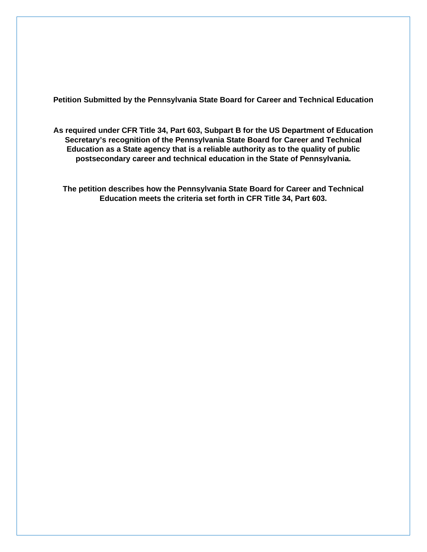**Petition Submitted by the Pennsylvania State Board for Career and Technical Education**

**As required under CFR Title 34, Part 603, Subpart B for the US Department of Education Secretary's recognition of the Pennsylvania State Board for Career and Technical Education as a State agency that is a reliable authority as to the quality of public postsecondary career and technical education in the State of Pennsylvania.**

**The petition describes how the Pennsylvania State Board for Career and Technical Education meets the criteria set forth in CFR Title 34, Part 603.**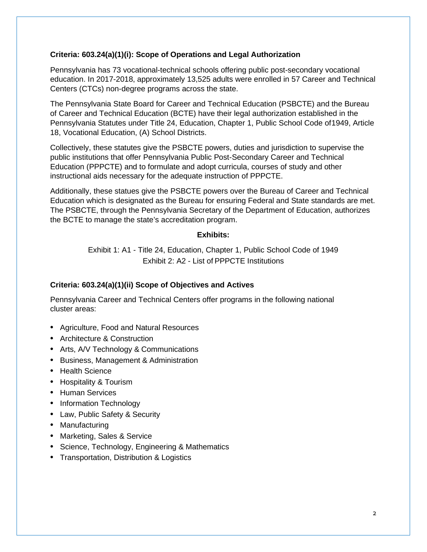# **Criteria: 603.24(a)(1)(i): Scope of Operations and Legal Authorization**

Pennsylvania has 73 vocational-technical schools offering public post-secondary vocational education. In 2017-2018, approximately 13,525 adults were enrolled in 57 Career and Technical Centers (CTCs) non-degree programs across the state.

The Pennsylvania State Board for Career and Technical Education (PSBCTE) and the Bureau of Career and Technical Education (BCTE) have their legal authorization established in the Pennsylvania Statutes under Title 24, Education, Chapter 1, Public School Code of1949, Article 18, Vocational Education, (A) School Districts.

Collectively, these statutes give the PSBCTE powers, duties and jurisdiction to supervise the public institutions that offer Pennsylvania Public Post-Secondary Career and Technical Education (PPPCTE) and to formulate and adopt curricula, courses of study and other instructional aids necessary for the adequate instruction of PPPCTE.

Additionally, these statues give the PSBCTE powers over the Bureau of Career and Technical Education which is designated as the Bureau for ensuring Federal and State standards are met. The PSBCTE, through the Pennsylvania Secretary of the Department of Education, authorizes the BCTE to manage the state's accreditation program.

#### **Exhibits:**

Exhibit 1: A1 - Title 24, Education, Chapter 1, Public School Code of 1949 Exhibit 2: A2 - List of PPPCTE Institutions

# **Criteria: 603.24(a)(1)(ii) Scope of Objectives and Actives**

Pennsylvania Career and Technical Centers offer programs in the following national cluster areas:

- Agriculture, Food and Natural Resources
- Architecture & Construction
- Arts, A/V Technology & Communications
- Business, Management & Administration
- Health Science
- Hospitality & Tourism
- Human Services
- Information Technology
- Law, Public Safety & Security
- Manufacturing
- Marketing, Sales & Service
- Science, Technology, Engineering & Mathematics
- Transportation, Distribution & Logistics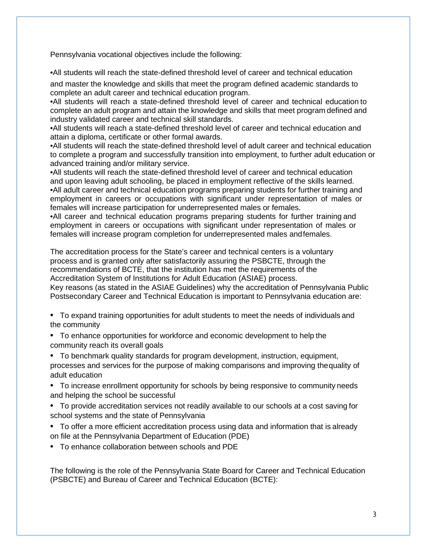Pennsylvania vocational objectives include the following:

•All students will reach the state-defined threshold level of career and technical education

and master the knowledge and skills that meet the program defined academic standards to complete an adult career and technical education program.

•All students will reach a state-defined threshold level of career and technical education to complete an adult program and attain the knowledge and skills that meet program defined and industry validated career and technical skill standards.

•All students will reach a state-defined threshold level of career and technical education and attain a diploma, certificate or other formal awards.

•All students will reach the state-defined threshold level of adult career and technical education to complete a program and successfully transition into employment, to further adult education or advanced training and/or military service.

•All students will reach the state-defined threshold level of career and technical education and upon leaving adult schooling, be placed in employment reflective of the skills learned. •All adult career and technical education programs preparing students for further training and employment in careers or occupations with significant under representation of males or females will increase participation for underrepresented males or females.

•All career and technical education programs preparing students for further training and employment in careers or occupations with significant under representation of males or females will increase program completion for underrepresented males andfemales.

The accreditation process for the State's career and technical centers is a voluntary process and is granted only after satisfactorily assuring the PSBCTE, through the recommendations of BCTE, that the institution has met the requirements of the Accreditation System of Institutions for Adult Education (ASIAE) process. Key reasons (as stated in the ASIAE Guidelines) why the accreditation of Pennsylvania Public Postsecondary Career and Technical Education is important to Pennsylvania education are:

- To expand training opportunities for adult students to meet the needs of individuals and the community
- To enhance opportunities for workforce and economic development to help the community reach its overall goals
- To benchmark quality standards for program development, instruction, equipment, processes and services for the purpose of making comparisons and improving thequality of adult education
- To increase enrollment opportunity for schools by being responsive to community needs and helping the school be successful
- To provide accreditation services not readily available to our schools at a cost saving for school systems and the state of Pennsylvania
- To offer a more efficient accreditation process using data and information that is already on file at the Pennsylvania Department of Education (PDE)
- To enhance collaboration between schools and PDE

The following is the role of the Pennsylvania State Board for Career and Technical Education (PSBCTE) and Bureau of Career and Technical Education (BCTE):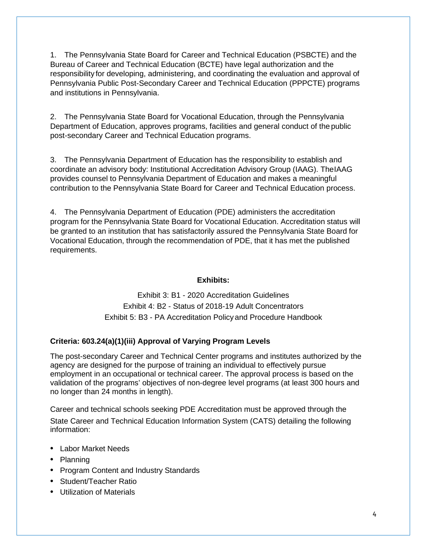1. The Pennsylvania State Board for Career and Technical Education (PSBCTE) and the Bureau of Career and Technical Education (BCTE) have legal authorization and the responsibility for developing, administering, and coordinating the evaluation and approval of Pennsylvania Public Post-Secondary Career and Technical Education (PPPCTE) programs and institutions in Pennsylvania.

2. The Pennsylvania State Board for Vocational Education, through the Pennsylvania Department of Education, approves programs, facilities and general conduct of the public post-secondary Career and Technical Education programs.

3. The Pennsylvania Department of Education has the responsibility to establish and coordinate an advisory body: Institutional Accreditation Advisory Group (IAAG). TheIAAG provides counsel to Pennsylvania Department of Education and makes a meaningful contribution to the Pennsylvania State Board for Career and Technical Education process.

4. The Pennsylvania Department of Education (PDE) administers the accreditation program for the Pennsylvania State Board for Vocational Education. Accreditation status will be granted to an institution that has satisfactorily assured the Pennsylvania State Board for Vocational Education, through the recommendation of PDE, that it has met the published requirements.

# **Exhibits:**

Exhibit 3: B1 - 2020 Accreditation Guidelines Exhibit 4: B2 - Status of 2018-19 Adult Concentrators Exhibit 5: B3 - PA Accreditation Policy and Procedure Handbook

# **Criteria: 603.24(a)(1)(iii) Approval of Varying Program Levels**

The post-secondary Career and Technical Center programs and institutes authorized by the agency are designed for the purpose of training an individual to effectively pursue employment in an occupational or technical career. The approval process is based on the validation of the programs' objectives of non-degree level programs (at least 300 hours and no longer than 24 months in length).

Career and technical schools seeking PDE Accreditation must be approved through the State Career and Technical Education Information System (CATS) detailing the following information:

- Labor Market Needs
- Planning
- Program Content and Industry Standards
- Student/Teacher Ratio
- Utilization of Materials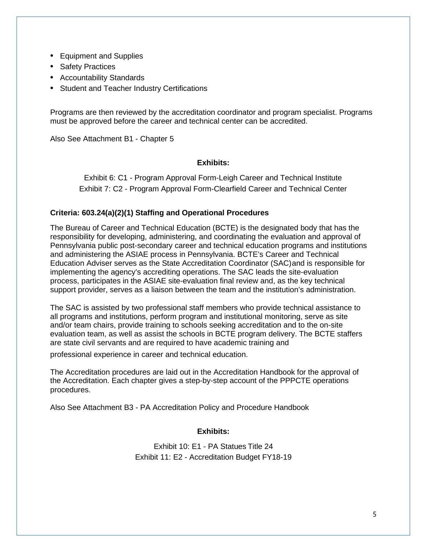- Equipment and Supplies
- Safety Practices
- Accountability Standards
- Student and Teacher Industry Certifications

Programs are then reviewed by the accreditation coordinator and program specialist. Programs must be approved before the career and technical center can be accredited.

Also See Attachment B1 - Chapter 5

### **Exhibits:**

Exhibit 6: C1 - Program Approval Form-Leigh Career and Technical Institute Exhibit 7: C2 - Program Approval Form-Clearfield Career and Technical Center

# **Criteria: 603.24(a)(2)(1) Staffing and Operational Procedures**

The Bureau of Career and Technical Education (BCTE) is the designated body that has the responsibility for developing, administering, and coordinating the evaluation and approval of Pennsylvania public post-secondary career and technical education programs and institutions and administering the ASIAE process in Pennsylvania. BCTE's Career and Technical Education Adviser serves as the State Accreditation Coordinator (SAC)and is responsible for implementing the agency's accrediting operations. The SAC leads the site-evaluation process, participates in the ASIAE site-evaluation final review and, as the key technical support provider, serves as a liaison between the team and the institution's administration.

The SAC is assisted by two professional staff members who provide technical assistance to all programs and institutions, perform program and institutional monitoring, serve as site and/or team chairs, provide training to schools seeking accreditation and to the on-site evaluation team, as well as assist the schools in BCTE program delivery. The BCTE staffers are state civil servants and are required to have academic training and

professional experience in career and technical education.

The Accreditation procedures are laid out in the Accreditation Handbook for the approval of the Accreditation. Each chapter gives a step-by-step account of the PPPCTE operations procedures.

Also See Attachment B3 - PA Accreditation Policy and Procedure Handbook

#### **Exhibits:**

Exhibit 10: E1 - PA Statues Title 24 Exhibit 11: E2 - Accreditation Budget FY18-19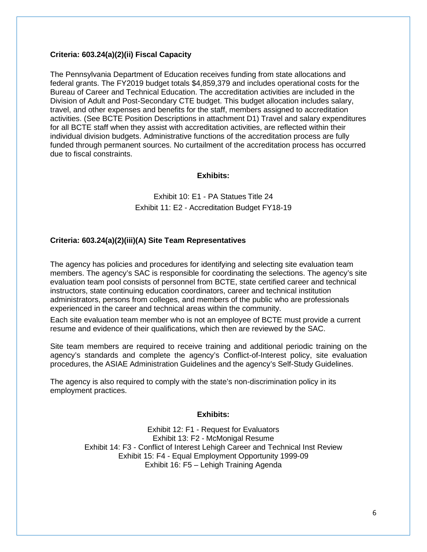### **Criteria: 603.24(a)(2)(ii) Fiscal Capacity**

The Pennsylvania Department of Education receives funding from state allocations and federal grants. The FY2019 budget totals \$4,859,379 and includes operational costs for the Bureau of Career and Technical Education. The accreditation activities are included in the Division of Adult and Post-Secondary CTE budget. This budget allocation includes salary, travel, and other expenses and benefits for the staff, members assigned to accreditation activities. (See BCTE Position Descriptions in attachment D1) Travel and salary expenditures for all BCTE staff when they assist with accreditation activities, are reflected within their individual division budgets. Administrative functions of the accreditation process are fully funded through permanent sources. No curtailment of the accreditation process has occurred due to fiscal constraints.

### **Exhibits:**

# Exhibit 10: E1 - PA Statues Title 24 Exhibit 11: E2 - Accreditation Budget FY18-19

# **Criteria: 603.24(a)(2)(iii)(A) Site Team Representatives**

The agency has policies and procedures for identifying and selecting site evaluation team members. The agency's SAC is responsible for coordinating the selections. The agency's site evaluation team pool consists of personnel from BCTE, state certified career and technical instructors, state continuing education coordinators, career and technical institution administrators, persons from colleges, and members of the public who are professionals experienced in the career and technical areas within the community.

Each site evaluation team member who is not an employee of BCTE must provide a current resume and evidence of their qualifications, which then are reviewed by the SAC.

Site team members are required to receive training and additional periodic training on the agency's standards and complete the agency's Conflict-of-Interest policy, site evaluation procedures, the ASIAE Administration Guidelines and the agency's Self-Study Guidelines.

The agency is also required to comply with the state's non-discrimination policy in its employment practices.

# **Exhibits:**

Exhibit 12: F1 - Request for Evaluators Exhibit 13: F2 - McMonigal Resume Exhibit 14: F3 - Conflict of Interest Lehigh Career and Technical Inst Review Exhibit 15: F4 - Equal Employment Opportunity 1999-09 Exhibit 16: F5 – Lehigh Training Agenda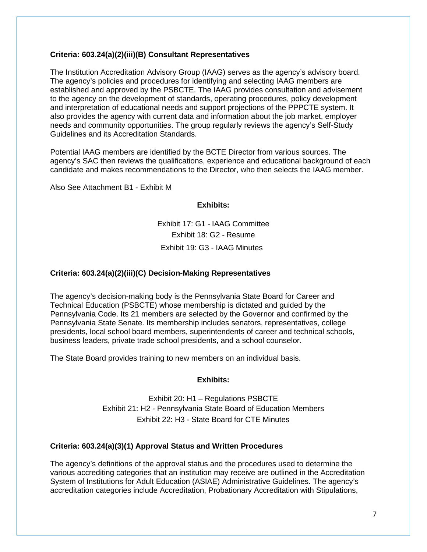### **Criteria: 603.24(a)(2)(iii)(B) Consultant Representatives**

The Institution Accreditation Advisory Group (IAAG) serves as the agency's advisory board. The agency's policies and procedures for identifying and selecting IAAG members are established and approved by the PSBCTE. The IAAG provides consultation and advisement to the agency on the development of standards, operating procedures, policy development and interpretation of educational needs and support projections of the PPPCTE system. It also provides the agency with current data and information about the job market, employer needs and community opportunities. The group regularly reviews the agency's Self-Study Guidelines and its Accreditation Standards.

Potential IAAG members are identified by the BCTE Director from various sources. The agency's SAC then reviews the qualifications, experience and educational background of each candidate and makes recommendations to the Director, who then selects the IAAG member.

Also See Attachment B1 - Exhibit M

### **Exhibits:**

Exhibit 17: G1 - IAAG Committee Exhibit 18: G2 - Resume Exhibit 19: G3 - IAAG Minutes

### **Criteria: 603.24(a)(2)(iii)(C) Decision-Making Representatives**

The agency's decision-making body is the Pennsylvania State Board for Career and Technical Education (PSBCTE) whose membership is dictated and guided by the Pennsylvania Code. Its 21 members are selected by the Governor and confirmed by the Pennsylvania State Senate. Its membership includes senators, representatives, college presidents, local school board members, superintendents of career and technical schools, business leaders, private trade school presidents, and a school counselor.

The State Board provides training to new members on an individual basis.

# **Exhibits:**

Exhibit 20: H1 – Regulations PSBCTE Exhibit 21: H2 - Pennsylvania State Board of Education Members Exhibit 22: H3 - State Board for CTE Minutes

# **Criteria: 603.24(a)(3)(1) Approval Status and Written Procedures**

The agency's definitions of the approval status and the procedures used to determine the various accrediting categories that an institution may receive are outlined in the Accreditation System of Institutions for Adult Education (ASIAE) Administrative Guidelines. The agency's accreditation categories include Accreditation, Probationary Accreditation with Stipulations,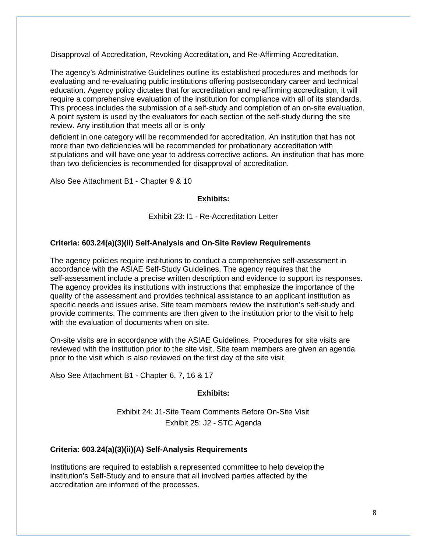Disapproval of Accreditation, Revoking Accreditation, and Re-Affirming Accreditation.

The agency's Administrative Guidelines outline its established procedures and methods for evaluating and re-evaluating public institutions offering postsecondary career and technical education. Agency policy dictates that for accreditation and re-affirming accreditation, it will require a comprehensive evaluation of the institution for compliance with all of its standards. This process includes the submission of a self-study and completion of an on-site evaluation. A point system is used by the evaluators for each section of the self-study during the site review. Any institution that meets all or is only

deficient in one category will be recommended for accreditation. An institution that has not more than two deficiencies will be recommended for probationary accreditation with stipulations and will have one year to address corrective actions. An institution that has more than two deficiencies is recommended for disapproval of accreditation.

Also See Attachment B1 - Chapter 9 & 10

### **Exhibits:**

Exhibit 23: I1 - Re-Accreditation Letter

# **Criteria: 603.24(a)(3)(ii) Self-Analysis and On-Site Review Requirements**

The agency policies require institutions to conduct a comprehensive self-assessment in accordance with the ASIAE Self-Study Guidelines. The agency requires that the self-assessment include a precise written description and evidence to support its responses. The agency provides its institutions with instructions that emphasize the importance of the quality of the assessment and provides technical assistance to an applicant institution as specific needs and issues arise. Site team members review the institution's self-study and provide comments. The comments are then given to the institution prior to the visit to help with the evaluation of documents when on site.

On-site visits are in accordance with the ASIAE Guidelines. Procedures for site visits are reviewed with the institution prior to the site visit. Site team members are given an agenda prior to the visit which is also reviewed on the first day of the site visit.

Also See Attachment B1 - Chapter 6, 7, 16 & 17

# **Exhibits:**

Exhibit 24: J1-Site Team Comments Before On-Site Visit Exhibit 25: J2 - STC Agenda

# **Criteria: 603.24(a)(3)(ii)(A) Self-Analysis Requirements**

Institutions are required to establish a represented committee to help develop the institution's Self-Study and to ensure that all involved parties affected by the accreditation are informed of the processes.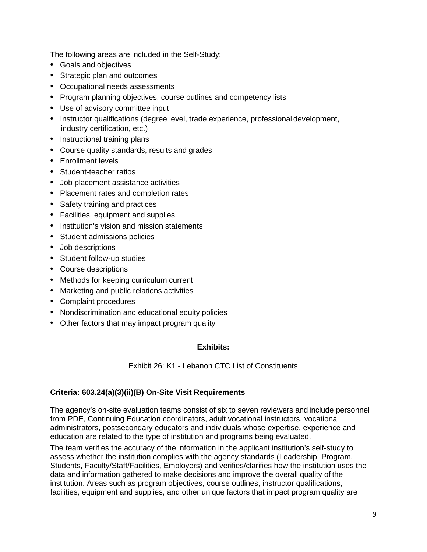The following areas are included in the Self-Study:

- Goals and objectives
- Strategic plan and outcomes
- Occupational needs assessments
- Program planning objectives, course outlines and competency lists
- Use of advisory committee input
- Instructor qualifications (degree level, trade experience, professional development, industry certification, etc.)
- Instructional training plans
- Course quality standards, results and grades
- Enrollment levels
- Student-teacher ratios
- Job placement assistance activities
- Placement rates and completion rates
- Safety training and practices
- Facilities, equipment and supplies
- Institution's vision and mission statements
- Student admissions policies
- Job descriptions
- Student follow-up studies
- Course descriptions
- Methods for keeping curriculum current
- Marketing and public relations activities
- Complaint procedures
- Nondiscrimination and educational equity policies
- Other factors that may impact program quality

# **Exhibits:**

Exhibit 26: K1 - Lebanon CTC List of Constituents

# **Criteria: 603.24(a)(3)(ii)(B) On-Site Visit Requirements**

The agency's on-site evaluation teams consist of six to seven reviewers and include personnel from PDE, Continuing Education coordinators, adult vocational instructors, vocational administrators, postsecondary educators and individuals whose expertise, experience and education are related to the type of institution and programs being evaluated.

The team verifies the accuracy of the information in the applicant institution's self-study to assess whether the institution complies with the agency standards (Leadership, Program, Students, Faculty/Staff/Facilities, Employers) and verifies/clarifies how the institution uses the data and information gathered to make decisions and improve the overall quality of the institution. Areas such as program objectives, course outlines, instructor qualifications, facilities, equipment and supplies, and other unique factors that impact program quality are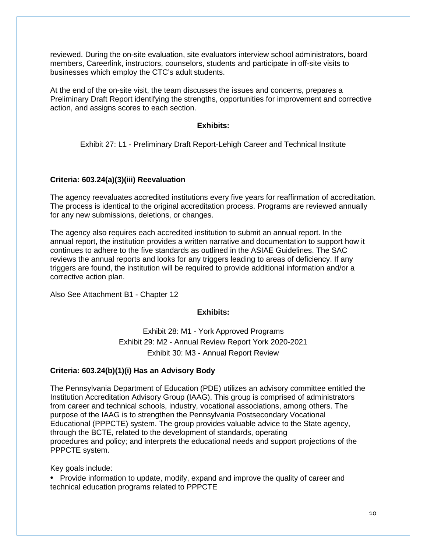reviewed. During the on-site evaluation, site evaluators interview school administrators, board members, Careerlink, instructors, counselors, students and participate in off-site visits to businesses which employ the CTC's adult students.

At the end of the on-site visit, the team discusses the issues and concerns, prepares a Preliminary Draft Report identifying the strengths, opportunities for improvement and corrective action, and assigns scores to each section.

### **Exhibits:**

Exhibit 27: L1 - Preliminary Draft Report-Lehigh Career and Technical Institute

### **Criteria: 603.24(a)(3)(iii) Reevaluation**

The agency reevaluates accredited institutions every five years for reaffirmation of accreditation. The process is identical to the original accreditation process. Programs are reviewed annually for any new submissions, deletions, or changes.

The agency also requires each accredited institution to submit an annual report. In the annual report, the institution provides a written narrative and documentation to support how it continues to adhere to the five standards as outlined in the ASIAE Guidelines. The SAC reviews the annual reports and looks for any triggers leading to areas of deficiency. If any triggers are found, the institution will be required to provide additional information and/or a corrective action plan.

Also See Attachment B1 - Chapter 12

# **Exhibits:**

Exhibit 28: M1 - York Approved Programs Exhibit 29: M2 - Annual Review Report York 2020-2021 Exhibit 30: M3 - Annual Report Review

# **Criteria: 603.24(b)(1)(i) Has an Advisory Body**

The Pennsylvania Department of Education (PDE) utilizes an advisory committee entitled the Institution Accreditation Advisory Group (IAAG). This group is comprised of administrators from career and technical schools, industry, vocational associations, among others. The purpose of the IAAG is to strengthen the Pennsylvania Postsecondary Vocational Educational (PPPCTE) system. The group provides valuable advice to the State agency, through the BCTE, related to the development of standards, operating procedures and policy; and interprets the educational needs and support projections of the PPPCTE system.

Key goals include:

• Provide information to update, modify, expand and improve the quality of career and technical education programs related to PPPCTE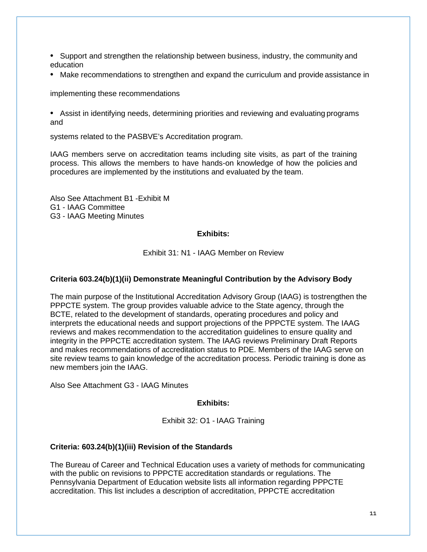- Support and strengthen the relationship between business, industry, the community and education
- Make recommendations to strengthen and expand the curriculum and provide assistance in

implementing these recommendations

• Assist in identifying needs, determining priorities and reviewing and evaluating programs and

systems related to the PASBVE's Accreditation program.

IAAG members serve on accreditation teams including site visits, as part of the training process. This allows the members to have hands-on knowledge of how the policies and procedures are implemented by the institutions and evaluated by the team.

Also See Attachment B1 -Exhibit M G1 - IAAG Committee G3 - IAAG Meeting Minutes

# **Exhibits:**

Exhibit 31: N1 - IAAG Member on Review

# **Criteria 603.24(b)(1)(ii) Demonstrate Meaningful Contribution by the Advisory Body**

The main purpose of the Institutional Accreditation Advisory Group (IAAG) is tostrengthen the PPPCTE system. The group provides valuable advice to the State agency, through the BCTE, related to the development of standards, operating procedures and policy and interprets the educational needs and support projections of the PPPCTE system. The IAAG reviews and makes recommendation to the accreditation guidelines to ensure quality and integrity in the PPPCTE accreditation system. The IAAG reviews Preliminary Draft Reports and makes recommendations of accreditation status to PDE. Members of the IAAG serve on site review teams to gain knowledge of the accreditation process. Periodic training is done as new members join the IAAG.

Also See Attachment G3 - IAAG Minutes

# **Exhibits:**

Exhibit 32: O1 - IAAG Training

# **Criteria: 603.24(b)(1)(iii) Revision of the Standards**

The Bureau of Career and Technical Education uses a variety of methods for communicating with the public on revisions to PPPCTE accreditation standards or regulations. The Pennsylvania Department of Education website lists all information regarding PPPCTE accreditation. This list includes a description of accreditation, PPPCTE accreditation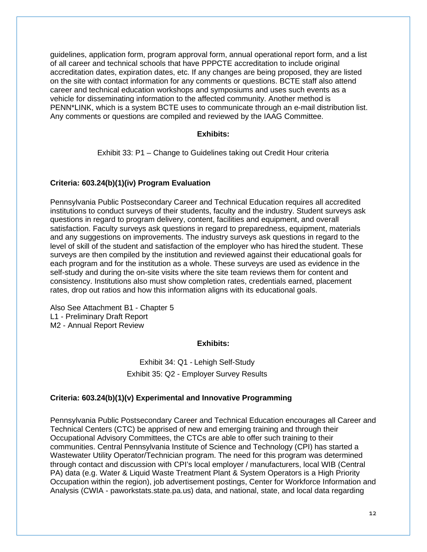guidelines, application form, program approval form, annual operational report form, and a list of all career and technical schools that have PPPCTE accreditation to include original accreditation dates, expiration dates, etc. If any changes are being proposed, they are listed on the site with contact information for any comments or questions. BCTE staff also attend career and technical education workshops and symposiums and uses such events as a vehicle for disseminating information to the affected community. Another method is PENN\*LINK, which is a system BCTE uses to communicate through an e-mail distribution list. Any comments or questions are compiled and reviewed by the IAAG Committee.

### **Exhibits:**

Exhibit 33: P1 – Change to Guidelines taking out Credit Hour criteria

#### **Criteria: 603.24(b)(1)(iv) Program Evaluation**

Pennsylvania Public Postsecondary Career and Technical Education requires all accredited institutions to conduct surveys of their students, faculty and the industry. Student surveys ask questions in regard to program delivery, content, facilities and equipment, and overall satisfaction. Faculty surveys ask questions in regard to preparedness, equipment, materials and any suggestions on improvements. The industry surveys ask questions in regard to the level of skill of the student and satisfaction of the employer who has hired the student. These surveys are then compiled by the institution and reviewed against their educational goals for each program and for the institution as a whole. These surveys are used as evidence in the self-study and during the on-site visits where the site team reviews them for content and consistency. Institutions also must show completion rates, credentials earned, placement rates, drop out ratios and how this information aligns with its educational goals.

Also See Attachment B1 - Chapter 5 L1 - Preliminary Draft Report M2 - Annual Report Review

#### **Exhibits:**

Exhibit 34: Q1 - Lehigh Self-Study Exhibit 35: Q2 - Employer Survey Results

#### **Criteria: 603.24(b)(1)(v) Experimental and Innovative Programming**

Pennsylvania Public Postsecondary Career and Technical Education encourages all Career and Technical Centers (CTC) be apprised of new and emerging training and through their Occupational Advisory Committees, the CTCs are able to offer such training to their communities. Central Pennsylvania Institute of Science and Technology (CPI) has started a Wastewater Utility Operator/Technician program. The need for this program was determined through contact and discussion with CPI's local employer / manufacturers, local WIB (Central PA) data (e.g. Water & Liquid Waste Treatment Plant & System Operators is a High Priority Occupation within the region), job advertisement postings, Center for Workforce Information and Analysis (CWIA - paworkstats.state.pa.us) data, and national, state, and local data regarding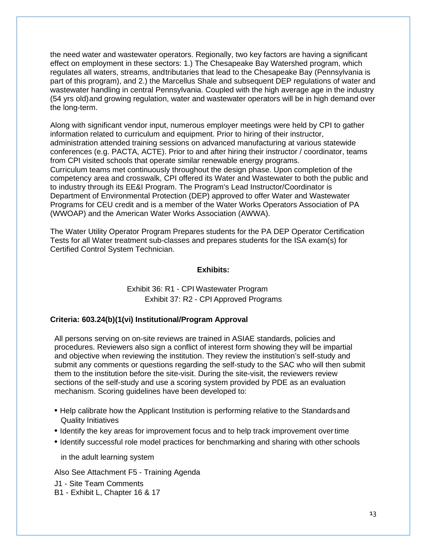the need water and wastewater operators. Regionally, two key factors are having a significant effect on employment in these sectors: 1.) The Chesapeake Bay Watershed program, which regulates all waters, streams, andtributaries that lead to the Chesapeake Bay (Pennsylvania is part of this program), and 2.) the Marcellus Shale and subsequent DEP regulations of water and wastewater handling in central Pennsylvania. Coupled with the high average age in the industry (54 yrs old)and growing regulation, water and wastewater operators will be in high demand over the long-term.

Along with significant vendor input, numerous employer meetings were held by CPI to gather information related to curriculum and equipment. Prior to hiring of their instructor, administration attended training sessions on advanced manufacturing at various statewide conferences (e.g. PACTA, ACTE). Prior to and after hiring their instructor / coordinator, teams from CPI visited schools that operate similar renewable energy programs. Curriculum teams met continuously throughout the design phase. Upon completion of the competency area and crosswalk, CPI offered its Water and Wastewater to both the public and to industry through its EE&I Program. The Program's Lead Instructor/Coordinator is Department of Environmental Protection (DEP) approved to offer Water and Wastewater Programs for CEU credit and is a member of the Water Works Operators Association of PA (WWOAP) and the American Water Works Association (AWWA).

The Water Utility Operator Program Prepares students for the PA DEP Operator Certification Tests for all Water treatment sub-classes and prepares students for the ISA exam(s) for Certified Control System Technician.

#### **Exhibits:**

# Exhibit 36: R1 - CPI Wastewater Program Exhibit 37: R2 - CPI Approved Programs

#### **Criteria: 603.24(b)(1(vi) Institutional/Program Approval**

All persons serving on on-site reviews are trained in ASIAE standards, policies and procedures. Reviewers also sign a conflict of interest form showing they will be impartial and objective when reviewing the institution. They review the institution's self-study and submit any comments or questions regarding the self-study to the SAC who will then submit them to the institution before the site-visit. During the site-visit, the reviewers review sections of the self-study and use a scoring system provided by PDE as an evaluation mechanism. Scoring guidelines have been developed to:

- Help calibrate how the Applicant Institution is performing relative to the Standardsand Quality Initiatives
- Identify the key areas for improvement focus and to help track improvement overtime
- Identify successful role model practices for benchmarking and sharing with other schools

in the adult learning system

Also See Attachment F5 - Training Agenda

J1 - Site Team Comments

B1 - Exhibit L, Chapter 16 & 17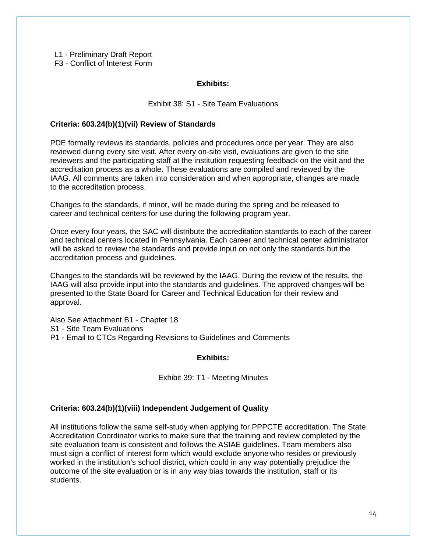L1 - Preliminary Draft Report

F3 - Conflict of Interest Form

### **Exhibits:**

### Exhibit 38: S1 - Site Team Evaluations

### **Criteria: 603.24(b)(1)(vii) Review of Standards**

PDE formally reviews its standards, policies and procedures once per year. They are also reviewed during every site visit. After every on-site visit, evaluations are given to the site reviewers and the participating staff at the institution requesting feedback on the visit and the accreditation process as a whole. These evaluations are compiled and reviewed by the IAAG. All comments are taken into consideration and when appropriate, changes are made to the accreditation process.

Changes to the standards, if minor, will be made during the spring and be released to career and technical centers for use during the following program year.

Once every four years, the SAC will distribute the accreditation standards to each of the career and technical centers located in Pennsylvania. Each career and technical center administrator will be asked to review the standards and provide input on not only the standards but the accreditation process and guidelines.

Changes to the standards will be reviewed by the IAAG. During the review of the results, the IAAG will also provide input into the standards and guidelines. The approved changes will be presented to the State Board for Career and Technical Education for their review and approval.

Also See Attachment B1 - Chapter 18 S1 - Site Team Evaluations P1 - Email to CTCs Regarding Revisions to Guidelines and Comments

#### **Exhibits:**

Exhibit 39: T1 - Meeting Minutes

#### **Criteria: 603.24(b)(1)(viii) Independent Judgement of Quality**

All institutions follow the same self-study when applying for PPPCTE accreditation. The State Accreditation Coordinator works to make sure that the training and review completed by the site evaluation team is consistent and follows the ASIAE guidelines. Team members also must sign a conflict of interest form which would exclude anyone who resides or previously worked in the institution's school district, which could in any way potentially prejudice the outcome of the site evaluation or is in any way bias towards the institution, staff or its students.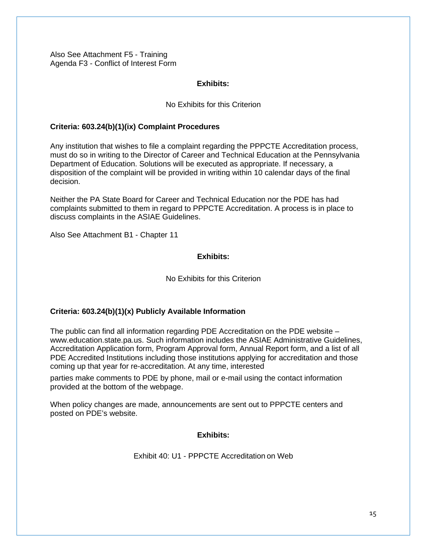Also See Attachment F5 - Training Agenda F3 - Conflict of Interest Form

#### **Exhibits:**

#### No Exhibits for this Criterion

#### **Criteria: 603.24(b)(1)(ix) Complaint Procedures**

Any institution that wishes to file a complaint regarding the PPPCTE Accreditation process, must do so in writing to the Director of Career and Technical Education at the Pennsylvania Department of Education. Solutions will be executed as appropriate. If necessary, a disposition of the complaint will be provided in writing within 10 calendar days of the final decision.

Neither the PA State Board for Career and Technical Education nor the PDE has had complaints submitted to them in regard to PPPCTE Accreditation. A process is in place to discuss complaints in the ASIAE Guidelines.

Also See Attachment B1 - Chapter 11

### **Exhibits:**

No Exhibits for this Criterion

#### **Criteria: 603.24(b)(1)(x) Publicly Available Information**

The public can find all information regarding PDE Accreditation on the PDE website – [www.education.state.pa.us. S](http://www.education.state.pa.us/)uch information includes the ASIAE Administrative Guidelines, Accreditation Application form, Program Approval form, Annual Report form, and a list of all PDE Accredited Institutions including those institutions applying for accreditation and those coming up that year for re-accreditation. At any time, interested

parties make comments to PDE by phone, mail or e-mail using the contact information provided at the bottom of the webpage.

When policy changes are made, announcements are sent out to PPPCTE centers and posted on PDE's website.

#### **Exhibits:**

Exhibit 40: U1 - PPPCTE Accreditation on Web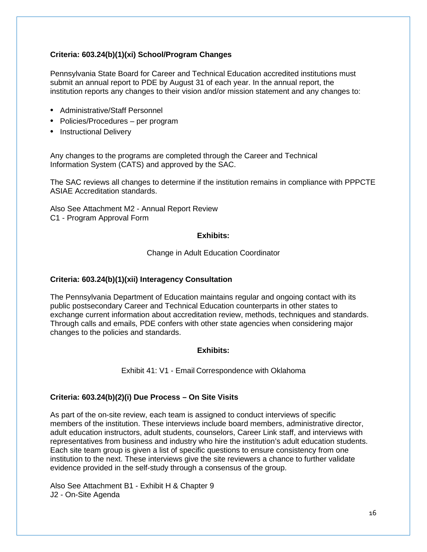# **Criteria: 603.24(b)(1)(xi) School/Program Changes**

Pennsylvania State Board for Career and Technical Education accredited institutions must submit an annual report to PDE by August 31 of each year. In the annual report, the institution reports any changes to their vision and/or mission statement and any changes to:

- Administrative/Staff Personnel
- Policies/Procedures per program
- Instructional Delivery

Any changes to the programs are completed through the Career and Technical Information System (CATS) and approved by the SAC.

The SAC reviews all changes to determine if the institution remains in compliance with PPPCTE ASIAE Accreditation standards.

Also See Attachment M2 - Annual Report Review C1 - Program Approval Form

### **Exhibits:**

### Change in Adult Education Coordinator

# **Criteria: 603.24(b)(1)(xii) Interagency Consultation**

The Pennsylvania Department of Education maintains regular and ongoing contact with its public postsecondary Career and Technical Education counterparts in other states to exchange current information about accreditation review, methods, techniques and standards. Through calls and emails, PDE confers with other state agencies when considering major changes to the policies and standards.

# **Exhibits:**

#### Exhibit 41: V1 - Email Correspondence with Oklahoma

# **Criteria: 603.24(b)(2)(i) Due Process – On Site Visits**

As part of the on-site review, each team is assigned to conduct interviews of specific members of the institution. These interviews include board members, administrative director, adult education instructors, adult students, counselors, Career Link staff, and interviews with representatives from business and industry who hire the institution's adult education students. Each site team group is given a list of specific questions to ensure consistency from one institution to the next. These interviews give the site reviewers a chance to further validate evidence provided in the self-study through a consensus of the group.

Also See Attachment B1 - Exhibit H & Chapter 9 J2 - On-Site Agenda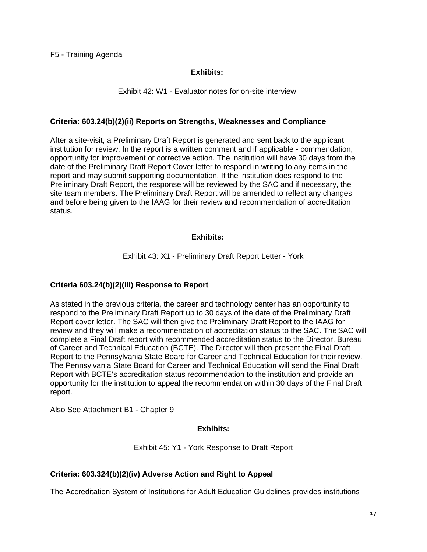#### F5 - Training Agenda

#### **Exhibits:**

#### Exhibit 42: W1 - Evaluator notes for on-site interview

#### **Criteria: 603.24(b)(2)(ii) Reports on Strengths, Weaknesses and Compliance**

After a site-visit, a Preliminary Draft Report is generated and sent back to the applicant institution for review. In the report is a written comment and if applicable - commendation, opportunity for improvement or corrective action. The institution will have 30 days from the date of the Preliminary Draft Report Cover letter to respond in writing to any items in the report and may submit supporting documentation. If the institution does respond to the Preliminary Draft Report, the response will be reviewed by the SAC and if necessary, the site team members. The Preliminary Draft Report will be amended to reflect any changes and before being given to the IAAG for their review and recommendation of accreditation status.

#### **Exhibits:**

#### Exhibit 43: X1 - Preliminary Draft Report Letter - York

#### **Criteria 603.24(b)(2)(iii) Response to Report**

As stated in the previous criteria, the career and technology center has an opportunity to respond to the Preliminary Draft Report up to 30 days of the date of the Preliminary Draft Report cover letter. The SAC will then give the Preliminary Draft Report to the IAAG for review and they will make a recommendation of accreditation status to the SAC. The SAC will complete a Final Draft report with recommended accreditation status to the Director, Bureau of Career and Technical Education (BCTE). The Director will then present the Final Draft Report to the Pennsylvania State Board for Career and Technical Education for their review. The Pennsylvania State Board for Career and Technical Education will send the Final Draft Report with BCTE's accreditation status recommendation to the institution and provide an opportunity for the institution to appeal the recommendation within 30 days of the Final Draft report.

Also See Attachment B1 - Chapter 9

### **Exhibits:**

Exhibit 45: Y1 - York Response to Draft Report

#### **Criteria: 603.324(b)(2)(iv) Adverse Action and Right to Appeal**

The Accreditation System of Institutions for Adult Education Guidelines provides institutions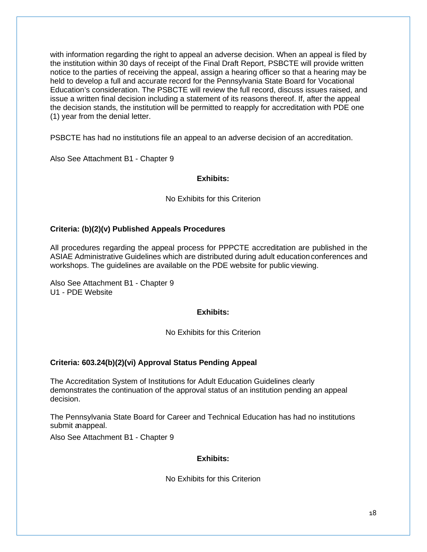with information regarding the right to appeal an adverse decision. When an appeal is filed by the institution within 30 days of receipt of the Final Draft Report, PSBCTE will provide written notice to the parties of receiving the appeal, assign a hearing officer so that a hearing may be held to develop a full and accurate record for the Pennsylvania State Board for Vocational Education's consideration. The PSBCTE will review the full record, discuss issues raised, and issue a written final decision including a statement of its reasons thereof. If, after the appeal the decision stands, the institution will be permitted to reapply for accreditation with PDE one (1) year from the denial letter.

PSBCTE has had no institutions file an appeal to an adverse decision of an accreditation.

Also See Attachment B1 - Chapter 9

# **Exhibits:**

No Exhibits for this Criterion

# **Criteria: (b)(2)(v) Published Appeals Procedures**

All procedures regarding the appeal process for PPPCTE accreditation are published in the ASIAE Administrative Guidelines which are distributed during adult educationconferences and workshops. The guidelines are available on the PDE website for public viewing.

Also See Attachment B1 - Chapter 9 U1 - PDE Website

# **Exhibits:**

No Exhibits for this Criterion

# **Criteria: 603.24(b)(2)(vi) Approval Status Pending Appeal**

The Accreditation System of Institutions for Adult Education Guidelines clearly demonstrates the continuation of the approval status of an institution pending an appeal decision.

The Pennsylvania State Board for Career and Technical Education has had no institutions submit anappeal.

Also See Attachment B1 - Chapter 9

# **Exhibits:**

No Exhibits for this Criterion